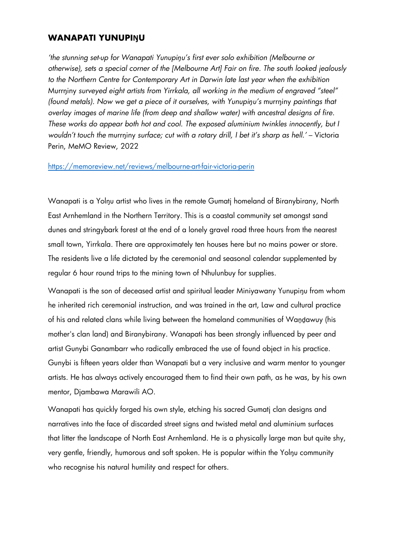# **WANAPATI YUNUPIŊU**

*'the stunning set-up for Wanapati Yunupiŋu's first ever solo exhibition (Melbourne or otherwise), sets a special corner of the [Melbourne Art] Fair on fire. The south looked jealously to the Northern Centre for Contemporary Art in Darwin late last year when the exhibition*  Murrŋiny *surveyed eight artists from Yirrkala, all working in the medium of engraved "steel" (found metals). Now we get a piece of it ourselves, with Yunupiŋu's* murrŋiny *paintings that overlay images of marine life (from deep and shallow water) with ancestral designs of fire. These works do appear both hot and cool. The exposed aluminium twinkles innocently, but I wouldn't touch the* murrŋiny *surface; cut with a rotary drill, I bet it's sharp as hell.'* – Victoria Perin, MeMO Review, 2022

### https://memoreview.net/reviews/melbourne-art-fair-victoria-perin

Wanapati is a Yolnu artist who lives in the remote Gumatj homeland of Biranybirany, North East Arnhemland in the Northern Territory. This is a coastal community set amongst sand dunes and stringybark forest at the end of a lonely gravel road three hours from the nearest small town, Yirrkala. There are approximately ten houses here but no mains power or store. The residents live a life dictated by the ceremonial and seasonal calendar supplemented by regular 6 hour round trips to the mining town of Nhulunbuy for supplies.

Wanapati is the son of deceased artist and spiritual leader Miniyawany Yunupiŋu from whom he inherited rich ceremonial instruction, and was trained in the art, Law and cultural practice of his and related clans while living between the homeland communities of Waṉḏawuy (his mother's clan land) and Biranybirany. Wanapati has been strongly influenced by peer and artist Gunybi Ganambarr who radically embraced the use of found object in his practice. Gunybi is fifteen years older than Wanapati but a very inclusive and warm mentor to younger artists. He has always actively encouraged them to find their own path, as he was, by his own mentor, Djambawa Marawili AO.

Wanapati has quickly forged his own style, etching his sacred Gumatj clan designs and narratives into the face of discarded street signs and twisted metal and aluminium surfaces that litter the landscape of North East Arnhemland. He is a physically large man but quite shy, very gentle, friendly, humorous and soft spoken. He is popular within the Yolŋu community who recognise his natural humility and respect for others.